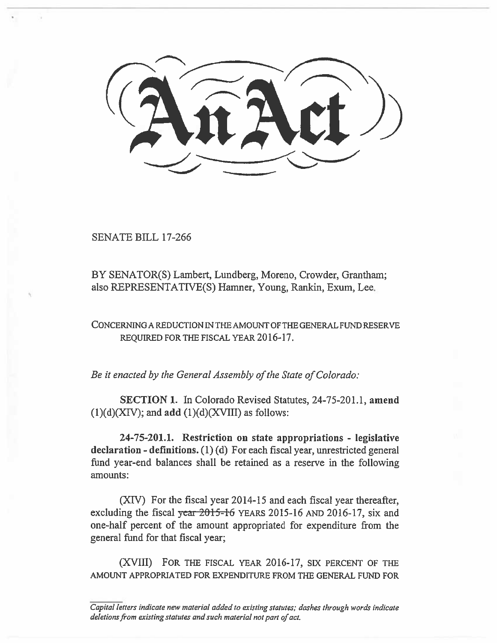SENATE BILL 17-266

BY SENATOR(S) Lambert, Lundberg, Moreno, Crowder, Grantham; also REPRESENTATIVE(S) Hamner, Young, Rankin, Exum, Lee.

CONCERNING A REDUCTION IN THE AMOUNT OF THE GENERAL FUND RESERVE REQUIRED FOR THE FISCAL YEAR 2016-17.

*Be it enacted by the General Assembly of the State of Colorado:* 

SECTION I. In Colorado Revised Statutes, 24-75-201.1, amend  $(1)(d)(XIV)$ ; and add  $(1)(d)(XVIII)$  as follows:

24-75-201.1. Restriction on state appropriations - legislative declaration - definitions. (1) (d) For each fiscal year, unrestricted general fund year-end balances shall be retained as a reserve in the following amounts:

(XIV) For the fiscal year 2014-15 and each fiscal year thereafter, excluding the fiscal *y*ear 2015-16 YEARS 2015-16 AND 2016-17, six and one-half percent of the amount appropriated for expenditure from the general fund for that fiscal year;

(XVIII) FOR THE FISCAL YEAR 2016-17, SIX PERCENT OF THE AMOUNT APPROPRIATED FOR EXPENDITURE FROM THE GENERAL FUND FOR

*Capital letters indicate new material added to existing statutes; dashes through words indicate deletions from existing statutes and such material not part of act.*